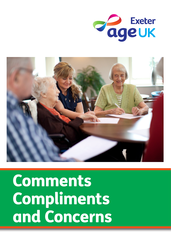



# **Comments** Compliments and Concerns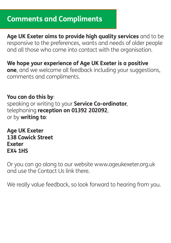## **Comments and Compliments**

**Age UK Exeter aims to provide high quality services** and to be responsive to the preferences, wants and needs of older people and all those who come into contact with the organisation.

## **We hope your experience of Age UK Exeter is a positive**

**one**, and we welcome all feedback including your suggestions, comments and compliments.

#### **You can do this by**:

speaking or writing to your **Service Co-ordinator**, telephoning **reception on 01392 202092**, or by **writing to**:

**Age UK Exeter 138 Cowick Street Exeter EX4 1HS**

Or you can go along to our website www.ageukexeter.org.uk and use the Contact Us link there.

We really value feedback, so look forward to hearing from you.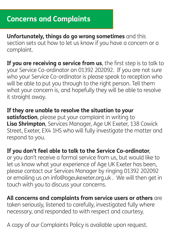**Unfortunately, things do go wrong sometimes** and this section sets out how to let us know if you have a concern or a complaint.

**If you are receiving a service from us**, the first step is to talk to your Service Co-ordinator on 01392 202092. If you are not sure who your Service Co-ordinator is please speak to reception who will be able to put you through to the right person. Tell them what your concern is, and hopefully they will be able to resolve it straight away.

**If they are unable to resolve the situation to your satisfaction**, please put your complaint in writing to **Lisa Shrimpton**, Services Manager, Age UK Exeter, 138 Cowick Street, Exeter, EX4 1HS who will fully investigate the matter and respond to you.

**If you don't feel able to talk to the Service Co-ordinator**,

or you don't receive a formal service from us, but would like to let us know what your experience of Age UK Exeter has been, please contact our Services Manager by ringing 01392 202092 or emailing us on info@ageukexeter.org.uk . We will then get in touch with you to discuss your concerns.

**All concerns and complaints from service users or others** are taken seriously, listened to carefully, investigated fully where necessary, and responded to with respect and courtesy.

A copy of our Complaints Policy is available upon request.